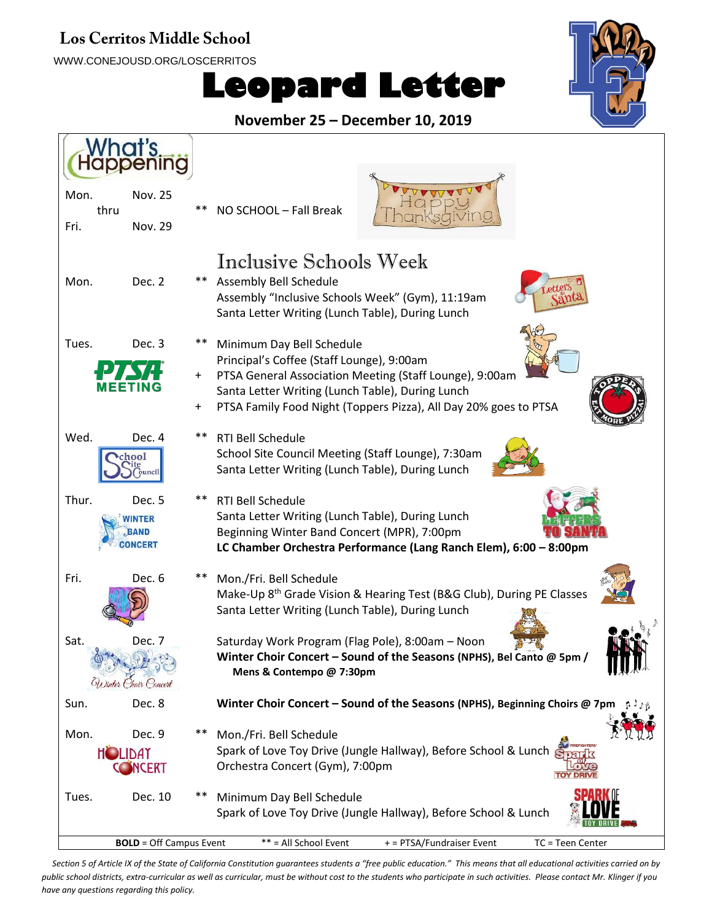## **Los Cerritos Middle School**

WWW.CONEJOUSD.ORG/LOSCERRITOS





**November 25 – December 10, 2019**



*Section 5 of Article IX of the State of California Constitution guarantees students a "free public education." This means that all educational activities carried on by public school districts, extra-curricular as well as curricular, must be without cost to the students who participate in such activities. Please contact Mr. Klinger if you have any questions regarding this policy.*